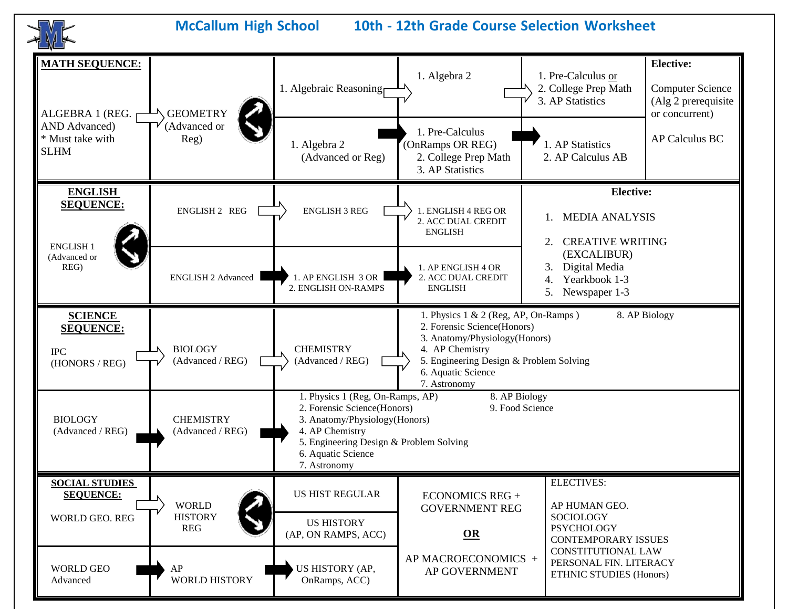**McCallum High School 10th - 12th Grade Course Selection Worksheet MATH SEQUENCE: Elective:**

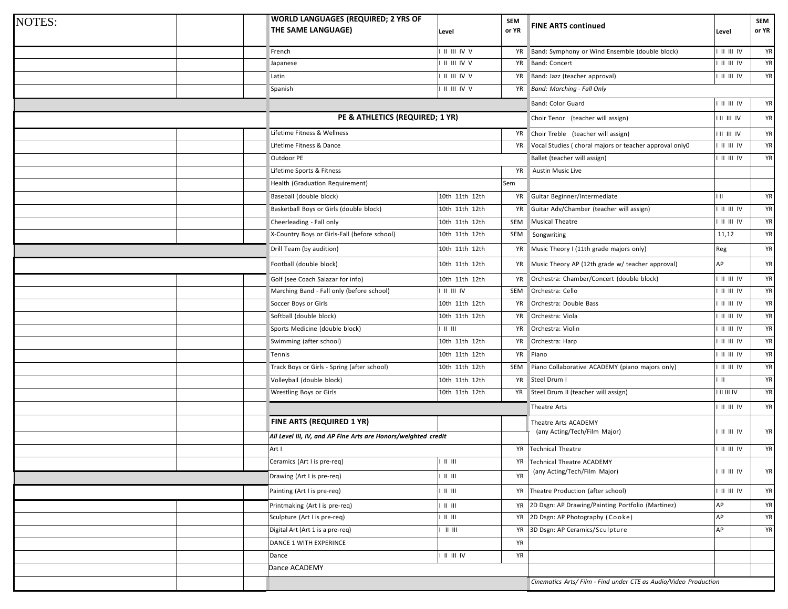| <b>NOTES:</b> |  | <b>WORLD LANGUAGES (REQUIRED; 2 YRS OF</b><br>THE SAME LANGUAGE) | Level                   | <b>SEM</b><br>or YR | <b>FINE ARTS continued</b>                                       | Level                                                                   | <b>SEM</b><br>or YR |
|---------------|--|------------------------------------------------------------------|-------------------------|---------------------|------------------------------------------------------------------|-------------------------------------------------------------------------|---------------------|
|               |  | French                                                           | II III IV V             | YR                  | Band: Symphony or Wind Ensemble (double block)                   | $  $ $  $ $  $ $ $ $ $                                                  | YR                  |
|               |  | Japanese                                                         | II III IV V             | YR                  | <b>Band: Concert</b>                                             | $\parallel$ $\parallel$ $\parallel$ $\parallel$ $\parallel$             | YR                  |
|               |  | Latin                                                            | II III IV V             | YR                  | Band: Jazz (teacher approval)                                    | $\parallel$ $\parallel$ $\parallel$ $\parallel$ $\parallel$ $\parallel$ | YR                  |
|               |  | Spanish                                                          | II III IV V             | YR                  | <b>Band: Marching - Fall Only</b>                                |                                                                         |                     |
|               |  |                                                                  |                         |                     | Band: Color Guard                                                | $\parallel$ $\parallel$ $\parallel$ $\parallel$ $\parallel$             | YR                  |
|               |  | PE & ATHLETICS (REQUIRED; 1 YR)                                  |                         |                     | Choir Tenor (teacher will assign)                                | I II III IV                                                             | <b>YR</b>           |
|               |  | Lifetime Fitness & Wellness                                      |                         | YR                  | Choir Treble (teacher will assign)                               | <b>III III IV</b>                                                       | YR                  |
|               |  | Lifetime Fitness & Dance                                         |                         | YR                  | Vocal Studies (choral majors or teacher approval only0           | $\parallel$ $\parallel$ $\parallel$ $\parallel$ $\parallel$             | YR                  |
|               |  | Outdoor PE                                                       |                         |                     | Ballet (teacher will assign)                                     | $\parallel$          $\parallel$                                        | YR                  |
|               |  | Lifetime Sports & Fitness                                        | YR                      |                     |                                                                  |                                                                         |                     |
|               |  | Health (Graduation Requirement)                                  |                         | Sem                 |                                                                  |                                                                         |                     |
|               |  | Baseball (double block)                                          | 10th 11th 12th          | YR                  | Guitar Beginner/Intermediate                                     | $\mathbf{H}$                                                            | YR                  |
|               |  | Basketball Boys or Girls (double block)                          | 10th 11th 12th          | YR                  | Guitar Adv/Chamber (teacher will assign)                         | $\parallel$ $\parallel$ $\parallel$ $\parallel$ $\parallel$             | YR                  |
|               |  | Cheerleading - Fall only                                         | 10th 11th 12th          | SEM                 | Musical Theatre                                                  | $\blacksquare$ $\blacksquare$ $\blacksquare$ $\blacksquare$             | YR                  |
|               |  | X-Country Boys or Girls-Fall (before school)                     | 10th 11th 12th          | SEM                 | Songwriting                                                      | 11,12                                                                   | YR                  |
|               |  | Drill Team (by audition)                                         | 10th 11th 12th          | YR                  | Music Theory I (11th grade majors only)                          | Reg                                                                     | YR                  |
|               |  | Football (double block)                                          | 10th 11th 12th          | YR                  | Music Theory AP (12th grade w/ teacher approval)                 | AP                                                                      | YR                  |
|               |  | Golf (see Coach Salazar for info)                                | 10th 11th 12th          | YR                  | Orchestra: Chamber/Concert (double block)                        | $\blacksquare$ $\blacksquare$ $\blacksquare$                            | YR                  |
|               |  | Marching Band - Fall only (before school)                        | $  $ $  $ $  $ $ $      | SEM                 | Orchestra: Cello                                                 | $\parallel$ II III IV                                                   | YR                  |
|               |  | Soccer Boys or Girls                                             | 10th 11th 12th          | YR                  | Orchestra: Double Bass                                           | $\parallel$ $\parallel$ $\parallel$ $\parallel$ $\parallel$             | YR                  |
|               |  | Softball (double block)                                          | 10th 11th 12th          | YR                  | Orchestra: Viola                                                 | I II III IV                                                             | YR                  |
|               |  | Sports Medicine (double block)                                   | $   $ $   $             | YR                  | Orchestra: Violin                                                | $  $ $  $ $  $ $ $                                                      | YR                  |
|               |  | Swimming (after school)                                          | 10th 11th 12th          | YR                  | Orchestra: Harp                                                  | $  $ $  $ $  $ $ $ $ $                                                  | YR                  |
|               |  | Tennis                                                           | 10th 11th 12th          | YR                  | Piano                                                            | $\parallel$ $\parallel$ $\parallel$ $\parallel$ $\parallel$             | YR                  |
|               |  | Track Boys or Girls - Spring (after school)                      | 10th 11th 12th          | SEM                 | Piano Collaborative ACADEMY (piano majors only)                  | $\parallel$ $\parallel$ $\parallel$ $\parallel$ $\parallel$             | YR                  |
|               |  | Volleyball (double block)                                        | 10th 11th 12th          | YR                  | Steel Drum I                                                     | $\mathsf{H}$                                                            | YR                  |
|               |  | Wrestling Boys or Girls                                          | 10th 11th 12th          | YR                  | Steel Drum II (teacher will assign)                              | <b>TH III IV</b>                                                        | YR                  |
|               |  |                                                                  |                         |                     | Theatre Arts                                                     | $\parallel$ II III IV                                                   | YR                  |
|               |  | FINE ARTS (REQUIRED 1 YR)                                        |                         |                     | Theatre Arts ACADEMY                                             |                                                                         |                     |
|               |  | All Level III, IV, and AP Fine Arts are Honors/weighted credit   |                         |                     | (any Acting/Tech/Film Major)                                     | $\parallel$ $\parallel$ $\parallel$ $\parallel$ $\parallel$             | <b>YR</b>           |
|               |  | Art I                                                            |                         | YR                  | <b>Technical Theatre</b>                                         | $\parallel$ $\parallel$ $\parallel$ $\parallel$ $\parallel$             | YR                  |
|               |  | Ceramics (Art I is pre-req)                                      |                         | YR                  | Technical Theatre ACADEMY                                        |                                                                         |                     |
|               |  | Drawing (Art I is pre-req)                                       | $\,$ II $\,$ III        | <b>YR</b>           | (any Acting/Tech/Film Major)                                     | $\parallel$ II III IV                                                   | <b>YR</b>           |
|               |  | Painting (Art I is pre-req)                                      | $\,$ II $\,$ III        | YR                  | Theatre Production (after school)                                | $\parallel$ $\parallel$ $\parallel$ $\parallel$ $\parallel$             | <b>YR</b>           |
|               |  | Printmaking (Art I is pre-req)                                   | $\,$ II $\,$ III        | YR                  | 2D Dsgn: AP Drawing/Painting Portfolio (Martinez)                | AP                                                                      | YR                  |
|               |  | Sculpture (Art I is pre-req)                                     | $\,$ II $\,$ III        | YR                  | 2D Dsgn: AP Photography (Cooke)                                  | AP                                                                      | YR                  |
|               |  | Digital Art (Art 1 is a pre-req)                                 | $\parallel$ $\parallel$ | YR                  | 3D Dsgn: AP Ceramics/Sculpture                                   | AP                                                                      | <b>YR</b>           |
|               |  | DANCE 1 WITH EXPERINCE                                           |                         | YR                  |                                                                  |                                                                         |                     |
|               |  | Dance                                                            | $II$ $III$ $IV$         | YR                  |                                                                  |                                                                         |                     |
|               |  | Dance ACADEMY                                                    |                         |                     |                                                                  |                                                                         |                     |
|               |  |                                                                  |                         |                     | Cinematics Arts/ Film - Find under CTE as Audio/Video Production |                                                                         |                     |